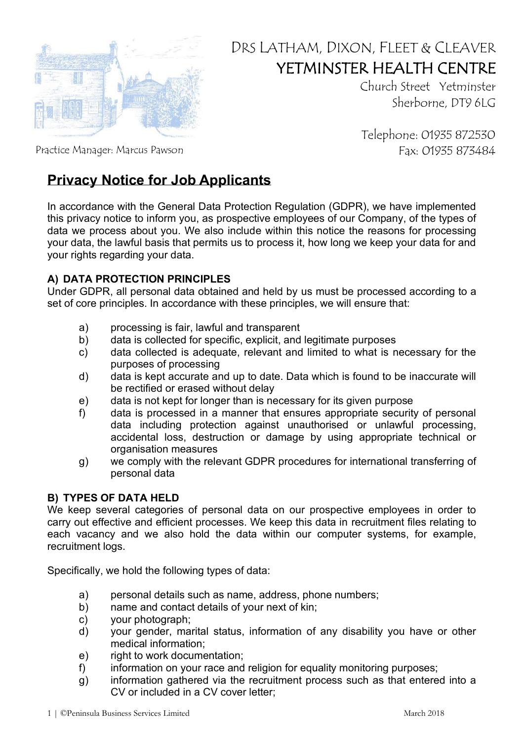

# DRS LATHAM, DIXON, FLEET & CLEAVER YETMINSTER HEALTH CENTRE

Church Street Yetminster Sherborne, DT9 6LG

Telephone: 01935 872530

Practice Manager: Marcus Pawson Fax: 01935 873484

# **Privacy Notice for Job Applicants**

In accordance with the General Data Protection Regulation (GDPR), we have implemented this privacy notice to inform you, as prospective employees of our Company, of the types of data we process about you. We also include within this notice the reasons for processing your data, the lawful basis that permits us to process it, how long we keep your data for and your rights regarding your data.

# **A) DATA PROTECTION PRINCIPLES**

Under GDPR, all personal data obtained and held by us must be processed according to a set of core principles. In accordance with these principles, we will ensure that:

- a) processing is fair, lawful and transparent
- b) data is collected for specific, explicit, and legitimate purposes
- c) data collected is adequate, relevant and limited to what is necessary for the purposes of processing
- d) data is kept accurate and up to date. Data which is found to be inaccurate will be rectified or erased without delay
- e) data is not kept for longer than is necessary for its given purpose
- f) data is processed in a manner that ensures appropriate security of personal data including protection against unauthorised or unlawful processing, accidental loss, destruction or damage by using appropriate technical or organisation measures
- g) we comply with the relevant GDPR procedures for international transferring of personal data

# **B) TYPES OF DATA HELD**

We keep several categories of personal data on our prospective employees in order to carry out effective and efficient processes. We keep this data in recruitment files relating to each vacancy and we also hold the data within our computer systems, for example, recruitment logs.

Specifically, we hold the following types of data:

- a) personal details such as name, address, phone numbers;
- b) name and contact details of your next of kin;
- c) your photograph;
- d) your gender, marital status, information of any disability you have or other medical information;
- e) right to work documentation;
- f) information on your race and religion for equality monitoring purposes;
- g) information gathered via the recruitment process such as that entered into a CV or included in a CV cover letter;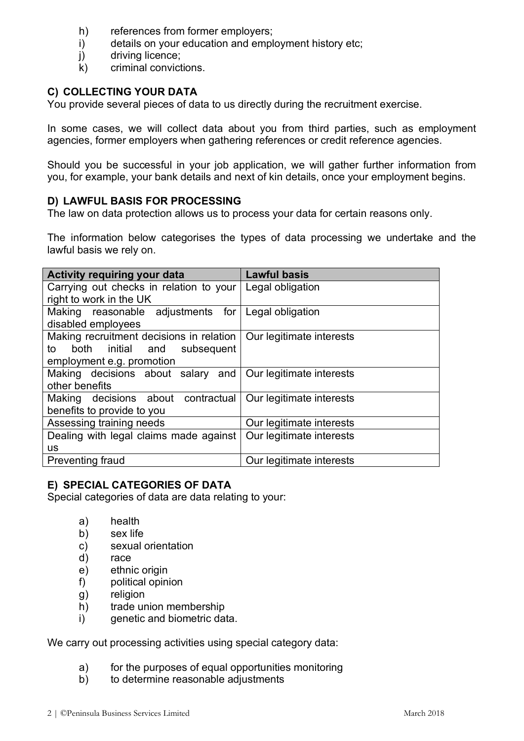- h) references from former employers;
- i) details on your education and employment history etc;
- j) driving licence;
- k) criminal convictions.

# **C) COLLECTING YOUR DATA**

You provide several pieces of data to us directly during the recruitment exercise.

In some cases, we will collect data about you from third parties, such as employment agencies, former employers when gathering references or credit reference agencies.

Should you be successful in your job application, we will gather further information from you, for example, your bank details and next of kin details, once your employment begins.

## **D) LAWFUL BASIS FOR PROCESSING**

The law on data protection allows us to process your data for certain reasons only.

The information below categorises the types of data processing we undertake and the lawful basis we rely on.

| <b>Activity requiring your data</b>                        | <b>Lawful basis</b>      |
|------------------------------------------------------------|--------------------------|
| Carrying out checks in relation to your                    | Legal obligation         |
| right to work in the UK                                    |                          |
| Making reasonable adjustments for Legal obligation         |                          |
| disabled employees                                         |                          |
| Making recruitment decisions in relation                   | Our legitimate interests |
| both initial and subsequent<br>to                          |                          |
| employment e.g. promotion                                  |                          |
| Making decisions about salary and Our legitimate interests |                          |
| other benefits                                             |                          |
| Making decisions about contractual                         | Our legitimate interests |
| benefits to provide to you                                 |                          |
| Assessing training needs                                   | Our legitimate interests |
| Dealing with legal claims made against                     | Our legitimate interests |
| <b>us</b>                                                  |                          |
| <b>Preventing fraud</b>                                    | Our legitimate interests |

# **E) SPECIAL CATEGORIES OF DATA**

Special categories of data are data relating to your:

- a) health
- b) sex life
- c) sexual orientation
- d) race
- e) ethnic origin
- f) political opinion
- g) religion
- h) trade union membership
- i) genetic and biometric data.

We carry out processing activities using special category data:

- a) for the purposes of equal opportunities monitoring
- b) to determine reasonable adjustments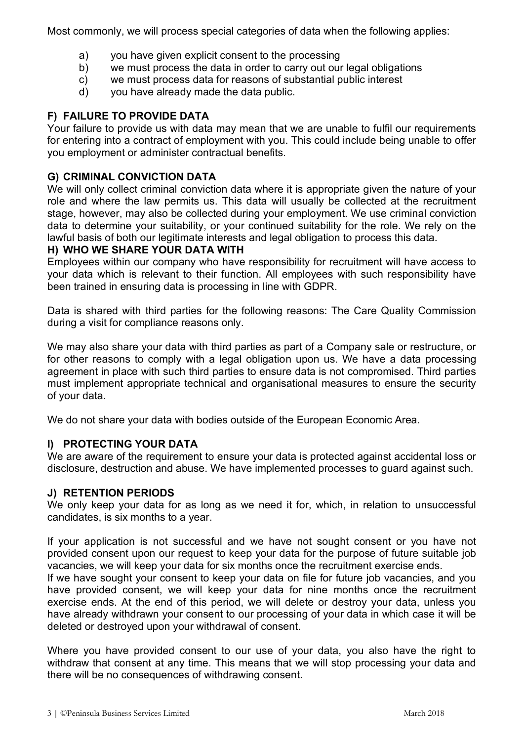Most commonly, we will process special categories of data when the following applies:

- a) you have given explicit consent to the processing
- b) we must process the data in order to carry out our legal obligations
- c) we must process data for reasons of substantial public interest
- d) you have already made the data public.

# **F) FAILURE TO PROVIDE DATA**

Your failure to provide us with data may mean that we are unable to fulfil our requirements for entering into a contract of employment with you. This could include being unable to offer you employment or administer contractual benefits.

#### **G) CRIMINAL CONVICTION DATA**

We will only collect criminal conviction data where it is appropriate given the nature of your role and where the law permits us. This data will usually be collected at the recruitment stage, however, may also be collected during your employment. We use criminal conviction data to determine your suitability, or your continued suitability for the role. We rely on the lawful basis of both our legitimate interests and legal obligation to process this data.

## **H) WHO WE SHARE YOUR DATA WITH**

Employees within our company who have responsibility for recruitment will have access to your data which is relevant to their function. All employees with such responsibility have been trained in ensuring data is processing in line with GDPR.

Data is shared with third parties for the following reasons: The Care Quality Commission during a visit for compliance reasons only.

We may also share your data with third parties as part of a Company sale or restructure, or for other reasons to comply with a legal obligation upon us. We have a data processing agreement in place with such third parties to ensure data is not compromised. Third parties must implement appropriate technical and organisational measures to ensure the security of your data.

We do not share your data with bodies outside of the European Economic Area.

#### **I) PROTECTING YOUR DATA**

We are aware of the requirement to ensure your data is protected against accidental loss or disclosure, destruction and abuse. We have implemented processes to guard against such.

#### **J) RETENTION PERIODS**

We only keep your data for as long as we need it for, which, in relation to unsuccessful candidates, is six months to a year.

If your application is not successful and we have not sought consent or you have not provided consent upon our request to keep your data for the purpose of future suitable job vacancies, we will keep your data for six months once the recruitment exercise ends.

If we have sought your consent to keep your data on file for future job vacancies, and you have provided consent, we will keep your data for nine months once the recruitment exercise ends. At the end of this period, we will delete or destroy your data, unless you have already withdrawn your consent to our processing of your data in which case it will be deleted or destroyed upon your withdrawal of consent.

Where you have provided consent to our use of your data, you also have the right to withdraw that consent at any time. This means that we will stop processing your data and there will be no consequences of withdrawing consent.